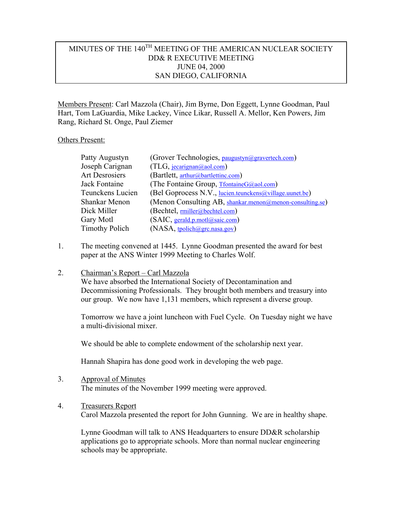# MINUTES OF THE 140<sup>TH</sup> MEETING OF THE AMERICAN NUCLEAR SOCIETY DD& R EXECUTIVE MEETING JUNE 04, 2000 SAN DIEGO, CALIFORNIA

Members Present: Carl Mazzola (Chair), Jim Byrne, Don Eggett, Lynne Goodman, Paul Hart, Tom LaGuardia, Mike Lackey, Vince Likar, Russell A. Mellor, Ken Powers, Jim Rang, Richard St. Onge, Paul Ziemer

### Others Present:

| Patty Augustyn        | (Grover Technologies, paugustyn@gravertech.com)            |
|-----------------------|------------------------------------------------------------|
| Joseph Carignan       | (TLG, jecarignan@aol.com)                                  |
| Art Desrosiers        | (Bartlett, arthur@bartlettinc.com)                         |
| Jack Fontaine         | (The Fontaine Group, TfontaineG@aol.com)                   |
| Teunckens Lucien      | (Bel Goprocess N.V., lucien.teunckens@village.uunet.be)    |
| Shankar Menon         | (Menon Consulting AB, shankar.menon@menon-consulting.se)   |
| Dick Miller           | (Bechtel, miller@bechtel.com)                              |
| Gary Motl             | $(SAIC, \underline{gerald.p.motl}(\overline{a} sai c.com)$ |
| <b>Timothy Polich</b> | $(NASA, \underline{tpolich}(\overline{a}grc.nasa.gov)$     |

1. The meeting convened at 1445. Lynne Goodman presented the award for best paper at the ANS Winter 1999 Meeting to Charles Wolf.

### 2. Chairman's Report – Carl Mazzola

We have absorbed the International Society of Decontamination and Decommissioning Professionals. They brought both members and treasury into our group. We now have 1,131 members, which represent a diverse group.

Tomorrow we have a joint luncheon with Fuel Cycle. On Tuesday night we have a multi-divisional mixer.

We should be able to complete endowment of the scholarship next year.

Hannah Shapira has done good work in developing the web page.

- 3. Approval of Minutes The minutes of the November 1999 meeting were approved.
- 4. Treasurers Report Carol Mazzola presented the report for John Gunning. We are in healthy shape.

Lynne Goodman will talk to ANS Headquarters to ensure DD&R scholarship applications go to appropriate schools. More than normal nuclear engineering schools may be appropriate.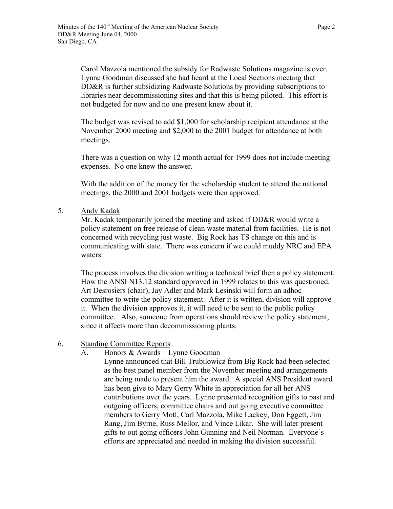Carol Mazzola mentioned the subsidy for Radwaste Solutions magazine is over. Lynne Goodman discussed she had heard at the Local Sections meeting that DD&R is further subsidizing Radwaste Solutions by providing subscriptions to libraries near decommissioning sites and that this is being piloted. This effort is not budgeted for now and no one present knew about it.

The budget was revised to add \$1,000 for scholarship recipient attendance at the November 2000 meeting and \$2,000 to the 2001 budget for attendance at both meetings.

There was a question on why 12 month actual for 1999 does not include meeting expenses. No one knew the answer.

With the addition of the money for the scholarship student to attend the national meetings, the 2000 and 2001 budgets were then approved.

5. Andy Kadak

Mr. Kadak temporarily joined the meeting and asked if DD&R would write a policy statement on free release of clean waste material from facilities. He is not concerned with recycling just waste. Big Rock has TS change on this and is communicating with state. There was concern if we could muddy NRC and EPA waters.

The process involves the division writing a technical brief then a policy statement. How the ANSI N13.12 standard approved in 1999 relates to this was questioned. Art Desrosiers (chair), Jay Adler and Mark Lesinski will form an adhoc committee to write the policy statement. After it is written, division will approve it. When the division approves it, it will need to be sent to the public policy committee. Also, someone from operations should review the policy statement, since it affects more than decommissioning plants.

- 6. Standing Committee Reports
	- A. Honors & Awards Lynne Goodman

Lynne announced that Bill Trubilowicz from Big Rock had been selected as the best panel member from the November meeting and arrangements are being made to present him the award. A special ANS President award has been give to Mary Gerry White in appreciation for all her ANS contributions over the years. Lynne presented recognition gifts to past and outgoing officers, committee chairs and out going executive committee members to Gerry Motl, Carl Mazzola, Mike Lackey, Don Eggett, Jim Rang, Jim Byrne, Russ Mellor, and Vince Likar. She will later present gifts to out going officers John Gunning and Neil Norman. Everyone's efforts are appreciated and needed in making the division successful.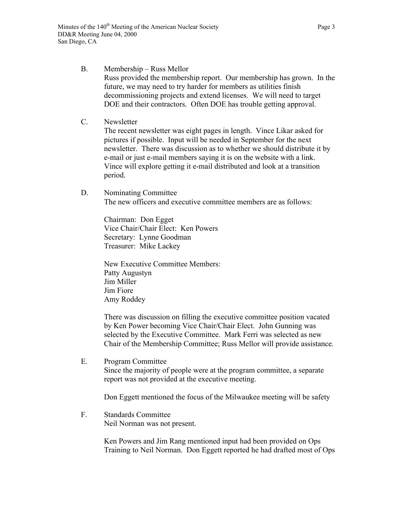## B. Membership – Russ Mellor Russ provided the membership report. Our membership has grown. In the future, we may need to try harder for members as utilities finish decommissioning projects and extend licenses. We will need to target DOE and their contractors. Often DOE has trouble getting approval.

C. Newsletter

The recent newsletter was eight pages in length. Vince Likar asked for pictures if possible. Input will be needed in September for the next newsletter. There was discussion as to whether we should distribute it by e-mail or just e-mail members saying it is on the website with a link. Vince will explore getting it e-mail distributed and look at a transition period.

D. Nominating Committee The new officers and executive committee members are as follows:

> Chairman: Don Egget Vice Chair/Chair Elect: Ken Powers Secretary: Lynne Goodman Treasurer: Mike Lackey

New Executive Committee Members: Patty Augustyn Jim Miller Jim Fiore Amy Roddey

There was discussion on filling the executive committee position vacated by Ken Power becoming Vice Chair/Chair Elect. John Gunning was selected by the Executive Committee. Mark Ferri was selected as new Chair of the Membership Committee; Russ Mellor will provide assistance.

E. Program Committee Since the majority of people were at the program committee, a separate report was not provided at the executive meeting.

Don Eggett mentioned the focus of the Milwaukee meeting will be safety

F. Standards Committee Neil Norman was not present.

> Ken Powers and Jim Rang mentioned input had been provided on Ops Training to Neil Norman. Don Eggett reported he had drafted most of Ops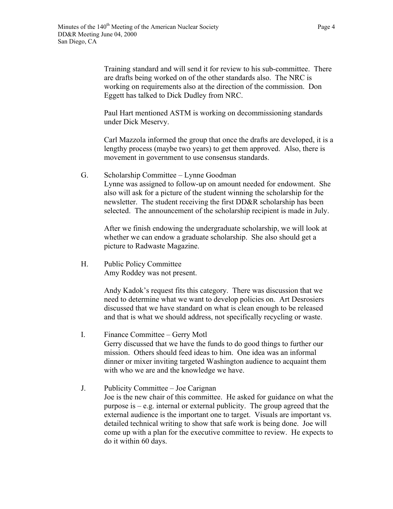Training standard and will send it for review to his sub-committee. There are drafts being worked on of the other standards also. The NRC is working on requirements also at the direction of the commission. Don Eggett has talked to Dick Dudley from NRC.

Paul Hart mentioned ASTM is working on decommissioning standards under Dick Meservy.

Carl Mazzola informed the group that once the drafts are developed, it is a lengthy process (maybe two years) to get them approved. Also, there is movement in government to use consensus standards.

G. Scholarship Committee – Lynne Goodman Lynne was assigned to follow-up on amount needed for endowment. She also will ask for a picture of the student winning the scholarship for the newsletter. The student receiving the first DD&R scholarship has been selected. The announcement of the scholarship recipient is made in July.

After we finish endowing the undergraduate scholarship, we will look at whether we can endow a graduate scholarship. She also should get a picture to Radwaste Magazine.

H. Public Policy Committee Amy Roddey was not present.

> Andy Kadok's request fits this category. There was discussion that we need to determine what we want to develop policies on. Art Desrosiers discussed that we have standard on what is clean enough to be released and that is what we should address, not specifically recycling or waste.

- I. Finance Committee Gerry Motl Gerry discussed that we have the funds to do good things to further our mission. Others should feed ideas to him. One idea was an informal dinner or mixer inviting targeted Washington audience to acquaint them with who we are and the knowledge we have.
- J. Publicity Committee Joe Carignan Joe is the new chair of this committee. He asked for guidance on what the purpose is – e.g. internal or external publicity. The group agreed that the external audience is the important one to target. Visuals are important vs. detailed technical writing to show that safe work is being done. Joe will come up with a plan for the executive committee to review. He expects to do it within 60 days.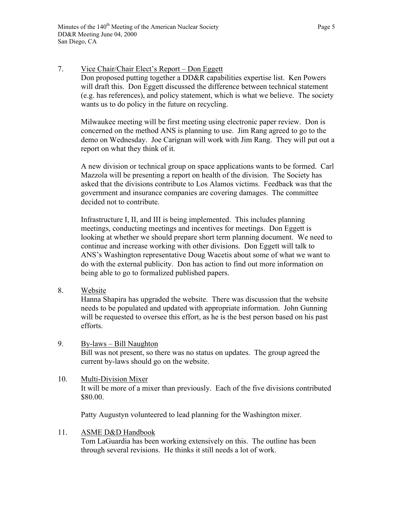7. Vice Chair/Chair Elect's Report – Don Eggett Don proposed putting together a DD&R capabilities expertise list. Ken Powers will draft this. Don Eggett discussed the difference between technical statement (e.g. has references), and policy statement, which is what we believe. The society wants us to do policy in the future on recycling.

Milwaukee meeting will be first meeting using electronic paper review. Don is concerned on the method ANS is planning to use. Jim Rang agreed to go to the demo on Wednesday. Joe Carignan will work with Jim Rang. They will put out a report on what they think of it.

A new division or technical group on space applications wants to be formed. Carl Mazzola will be presenting a report on health of the division. The Society has asked that the divisions contribute to Los Alamos victims. Feedback was that the government and insurance companies are covering damages. The committee decided not to contribute.

Infrastructure I, II, and III is being implemented. This includes planning meetings, conducting meetings and incentives for meetings. Don Eggett is looking at whether we should prepare short term planning document. We need to continue and increase working with other divisions. Don Eggett will talk to ANS's Washington representative Doug Wacetis about some of what we want to do with the external publicity. Don has action to find out more information on being able to go to formalized published papers.

8. Website

Hanna Shapira has upgraded the website. There was discussion that the website needs to be populated and updated with appropriate information. John Gunning will be requested to oversee this effort, as he is the best person based on his past efforts.

- 9. By-laws Bill Naughton Bill was not present, so there was no status on updates. The group agreed the current by-laws should go on the website.
- 10. Multi-Division Mixer It will be more of a mixer than previously. Each of the five divisions contributed \$80.00.

Patty Augustyn volunteered to lead planning for the Washington mixer.

### 11. ASME D&D Handbook

Tom LaGuardia has been working extensively on this. The outline has been through several revisions. He thinks it still needs a lot of work.